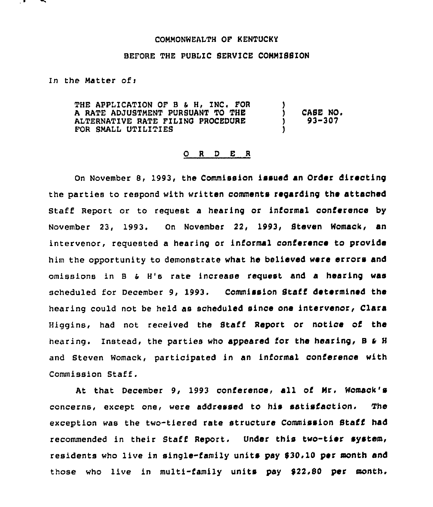## COMMONWEALTH OF KENTUCKY

## BEFORE THE PUBLIC SERVICE COMMISSION

In the Matter of:

THE APPLICATION OF B & H, INC. FOR A RATE ADJUSTMENT PURSUANT TO THE ALTERNATIVE RATE FILING PROCEDURE FOR SMALL UTILITIES )  $)$  CASE NO.<br>  $)$  93-307 ) 93-307 )

## 0 <sup>R</sup> <sup>D</sup> E <sup>R</sup>

On November 8, 1993, the Commission issued an Order directing the parties to respond with written comments regarding the attached Staff Report or to request a hearing or informal conference by November 23, 1993. On November 22, 1993, Steven Womack, an intervenor, requested a hearing or informal conference to provide him the opportunity to demonstrate what he believed were errors and omissions in B & H's rate increase request and a hearing was scheduled for December 9, 1993. Commission Staff determined the hearing could not be held as scheduled since one intervenor, Clara Higgins, had not received the Staff Report or notice of the hearing. Instead, the parties who appeared for the hearing, B & H and Steven Womack, participated in an informal conference with Commission Staff .

At that December 9, 1993 conference, all of Mr. Womack's concerns, except one, were addressed to his satisfaction. The exception was the two-tiered rate structure Commission Staff had recommended in their Staff Report. Under this two-tier system, residents who live in single-family units pay \$30.10 per month and those who live in multi-family units pay \$22,00 per month.